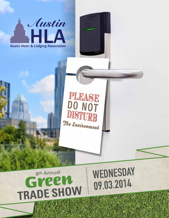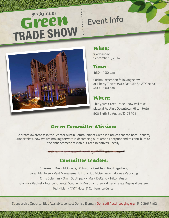## <sup>6</sup>th Annua<sup>l</sup> *Green*  **TRADE SHOW Event Info**

![](_page_1_Picture_1.jpeg)

#### *When:*

**Wednesday** September 3, 2014

### *Time:*

1:30 - 4:30 p.m.

Cocktail reception following show at Liberty Tavern (500 East 4th St, ATX 78701) 4:00 - 6:00 p.m.

#### *Where:*

This years Green Trade Show will take place at Austin's Downtown Hilton Hotel. 500 E 4th St Austin, TX 78701

#### *Green Committee Mission:*

To create awareness in the Greater Austin Community of Green Initiatives that the hotel industry undertakes, how we are moving forward in decreasing our Carbon Footprint and to contribute to the enhancement of viable "Green Initiatives" locally.

![](_page_1_Figure_11.jpeg)

## *Committee Leaders:*

**Chairman:** Drew McQuade, W Austin • **Co-Chair:** Rob Hagelberg Sarah McElwee - Pest Management, Inc. • Bob McGivney - Balcones Recylcing Chris Coleman - Omni Southpark • Mark DeCario - Hilton Austin Gianluca Vechiet - Intercontinental Stephen F. Austin • Torey Palmer - Texas Disposal System Ted Hibler - AT&T Hotel & Conference Center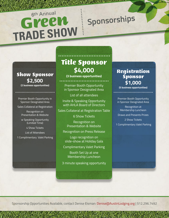## *Show Sponsor* **\$2,500**

Premier Booth Opportunity in Sponsor Designated Area

Sales Collateral at Registration

Recognition on Presentation & Website

w Speaking Opportunity (Limited Time)

4 Show Tickets

List of Attendees

1 Complimentary Valet Parking

## *Title Sponsor* **\$4,000**

**(3 business opportunities)**

**(2 business opportunities)** Premier Booth Opportunity in Sponsor Designated Area

List of all attendees

Invite & Speaking Opportunity with AHLA Board of Directors

Sales Collateral at Registration Table

6 Show Tickets

Recognition on Presentation & Website

Recognition on Press Release

Logo recognition on slide-show at Holiday Gala

Complimentary Valet Parking

Booth Set Up at one Membership Luncheon

3 minute speaking opportunity

#### *Registration Sponsor* **\$1,000 (5 business opportunities)**

**Sponsorships**

Premier Booth Opportunity in Sponsor Designated Area

Recognition at Membership Luncheon Draws and Presents Prizes 2 Show Tickets 1 Complimentary Valet Parking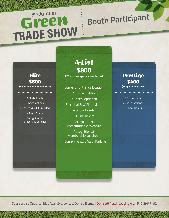## *Elite* **\$600**<br>(Booth comes with electrical)

1 Skirted table 2 Chairs (optional) Electrical & WIFI Provided

2 Show Tickets

Recognition at Membership Luncheon

## *A-List* **\$800**

**(26 corner spaces available)**

**(Booth comes with electrical)** Corner or Entrance location 1 Skirted tables 2 Chairs (optional) Electrical & WIFI provided 4 Show Tickets 2 Drink Tickets

Recognition on Presentation & Website

Recognition at Membership Luncheon

1 Complimentary Valet Parking

#### *Prestige* **\$400 (55 spaces available)**

**Booth Participan<sup>t</sup>**

1 Skirted table 2 Chairs (optional) 2 Show Tickets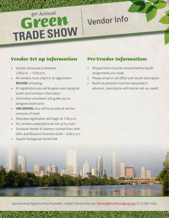## **Vendor Info**

### *Vendor Set up Information*

- Vendor showcase is between 2:00 p.m. – 5:00 p.m.
- All vendors must check in at registration **BEFORE** unloading
- At registration you will be given your assigned booth and luncheon information
- Committee volunteers will guide you to assigned booth area
- **• UNLOADING** area will be located at service entrance of hotel
- Attendee registration will begin at 1:00 p.m.
- ALL vendors expected to be set up by noon
- Exclusive Vendor & Sponsor cocktail hour with GM's and Board of Directors (5:00 – 6:00 p.m.)
- Square footage per booth 6x8

### *Pre-Vendor Information:*

- All payments must be received before booth assignments are made.
- Please email or call office with booth description
- Booth accessories must be requested in advance…(assistance with banner set up, easel)

![](_page_4_Picture_16.jpeg)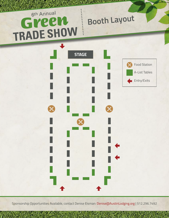## 6th Annual **Booth Layout** Green TRADE SHOW

![](_page_5_Figure_1.jpeg)